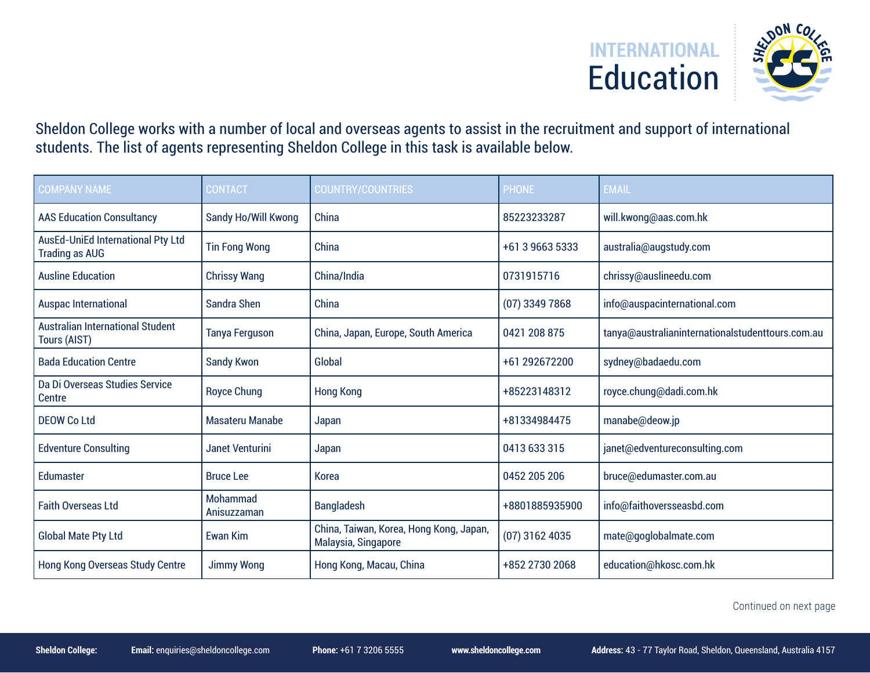

Sheldon College works with a number of local and overseas agents to assist in the recruitment and support of international students. The list of agents representing Sheldon College in this task is available below.

| <b>COMPANY NAME</b>                                               | <b>CONTACT</b>          | <b>COUNTRY/COUNTRIES</b>                                       | <b>PHONE</b>     | <b>EMAIL</b>                                     |
|-------------------------------------------------------------------|-------------------------|----------------------------------------------------------------|------------------|--------------------------------------------------|
| <b>AAS Education Consultancy</b>                                  | Sandy Ho/Will Kwong     | China                                                          | 85223233287      | will.kwong@aas.com.hk                            |
| <b>AusEd-UniEd International Pty Ltd</b><br><b>Trading as AUG</b> | <b>Tin Fong Wong</b>    | China                                                          | +61 3 9663 5333  | australia@augstudy.com                           |
| <b>Ausline Education</b>                                          | <b>Chrissy Wang</b>     | China/India                                                    | 0731915716       | chrissy@auslineedu.com                           |
| <b>Auspac International</b>                                       | Sandra Shen             | China                                                          | $(07)$ 3349 7868 | info@auspacinternational.com                     |
| <b>Australian International Student</b><br><b>Tours (AIST)</b>    | <b>Tanya Ferguson</b>   | China, Japan, Europe, South America                            | 0421 208 875     | tanya@australianinternationalstudenttours.com.au |
| <b>Bada Education Centre</b>                                      | <b>Sandy Kwon</b>       | <b>Global</b>                                                  | +61 292672200    | sydney@badaedu.com                               |
| Da Di Overseas Studies Service<br>Centre                          | <b>Royce Chung</b>      | <b>Hong Kong</b>                                               | +85223148312     | royce.chung@dadi.com.hk                          |
| DEOW Co Ltd                                                       | <b>Masateru Manabe</b>  | Japan                                                          | +81334984475     | manabe@deow.jp                                   |
| <b>Edventure Consulting</b>                                       | <b>Janet Venturini</b>  | Japan                                                          | 0413 633 315     | janet@edventureconsulting.com                    |
| Edumaster                                                         | <b>Bruce Lee</b>        | <b>Korea</b>                                                   | 0452 205 206     | bruce@edumaster.com.au                           |
| <b>Faith Overseas Ltd</b>                                         | Mohammad<br>Anisuzzaman | <b>Bangladesh</b>                                              | +8801885935900   | info@faithoversseasbd.com                        |
| <b>Global Mate Pty Ltd</b>                                        | <b>Ewan Kim</b>         | China, Taiwan, Korea, Hong Kong, Japan,<br>Malaysia, Singapore | $(07)$ 3162 4035 | mate@goglobalmate.com                            |
| <b>Hong Kong Overseas Study Centre</b>                            | <b>Jimmy Wong</b>       | Hong Kong, Macau, China                                        | +852 2730 2068   | education@hkosc.com.hk                           |

Continued on next page